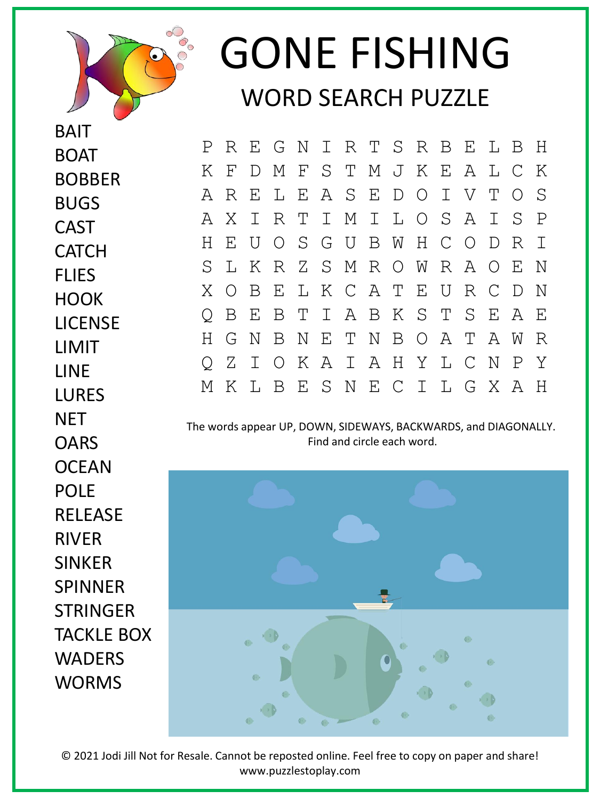

BAIT

**BOAT** 

BUGS

CAST

**CATCH** 

BOBBER

## GONE FISHING WORD SEARCH PUZZLE

P R E G N I R T S R B E L B H K F D M F S T M J K E A L C K A R E L E A S E D O I V T O S A X I R T I M I L O S A I S P H E U O S G U B W H C O D R I S L K R Z S M R O W R A O E N X O B E L K C A T E U R C D N Q B E B T I A B K S T S E A E H G N B N E T N B O A T A W R Q Z I O K A I A H Y L C N P Y M K L B E S N E C I L G X A H

The words appear UP, DOWN, SIDEWAYS, BACKWARDS, and DIAGONALLY. Find and circle each word.



© 2021 Jodi Jill Not for Resale. Cannot be reposted online. Feel free to copy on paper and share! www.puzzlestoplay.com

**FLIFS HOOK** LICENSE LIMIT LINE **LURES NFT OARS OCEAN** POLE **RFLFASF** RIVER SINKER SPINNER **STRINGER** TACKLE BOX WADERS WORMS